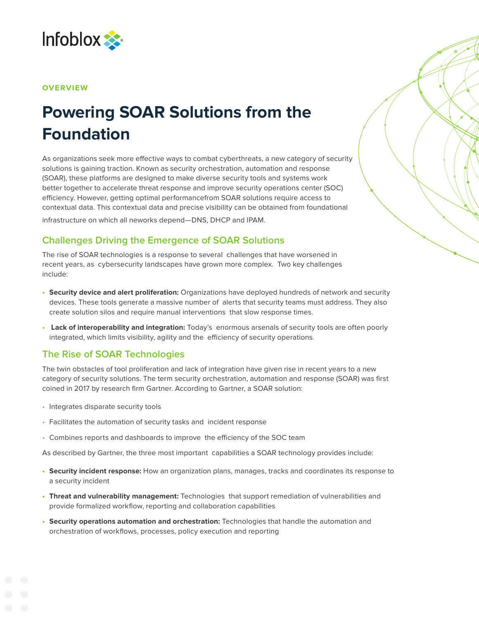

#### **OVERVIEW**

# **Powering SOAR Solutions from the Foundation**

As organizations seek more effective ways to combat cyberthreats, a new category of security solutions is gaining traction. Known as security orchestration, automation and response (SOAR), these platforms are designed to make diverse security tools and systems work better together to accelerate threat response and improve security operations center (SOC) efficiency. However, getting optimal performancefrom SOAR solutions require access to contextual data. This contextual data and precise visibility can be obtained from foundational

infrastructure on which all neworks depend—DNS, DHCP and IPAM.

# **Challenges Driving the Emergence of SOAR Solutions**

The rise of SOAR technologies is a response to several challenges that have worsened in recent years, as cybersecurity landscapes have grown more complex. Two key challenges include:

- **• Security device and alert proliferation:** Organizations have deployed hundreds of network and security devices. These tools generate a massive number of alerts that security teams must address. They also create solution silos and require manual interventions that slow response times.
- **Lack of interoperability and integration:** Today's enormous arsenals of security tools are often poorly integrated, which limits visibility, agility and the efficiency of security operations.

# **The Rise of SOAR Technologies**

The twin obstacles of tool proliferation and lack of integration have given rise in recent years to a new category of security solutions. The term security orchestration, automation and response (SOAR) was first coined in 2017 by research firm Gartner. According to Gartner, a SOAR solution:

- Integrates disparate security tools
- Facilitates the automation of security tasks and incident response
- Combines reports and dashboards to improve the efficiency of the SOC team

As described by Gartner, the three most important capabilities a SOAR technology provides include:

- **• Security incident response:** How an organization plans, manages, tracks and coordinates its response to a security incident
- **• Threat and vulnerability management:** Technologies that support remediation of vulnerabilities and provide formalized workflow, reporting and collaboration capabilities
- **• Security operations automation and orchestration:** Technologies that handle the automation and orchestration of workflows, processes, policy execution and reporting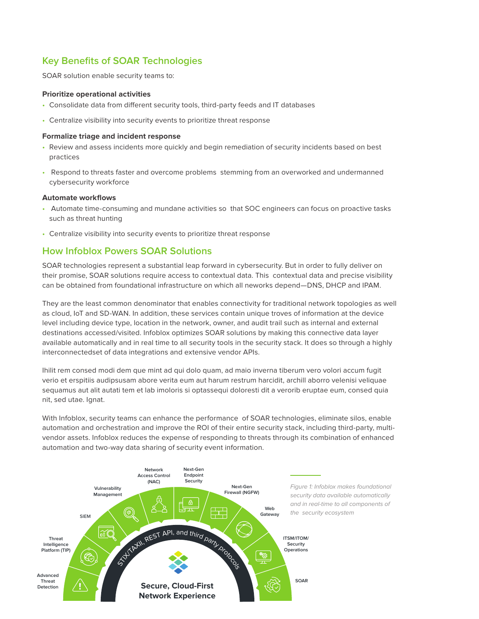# **Key Benefits of SOAR Technologies**

SOAR solution enable security teams to:

#### **Prioritize operational activities**

- Consolidate data from different security tools, third-party feeds and IT databases
- Centralize visibility into security events to prioritize threat response

#### **Formalize triage and incident response**

- Review and assess incidents more quickly and begin remediation of security incidents based on best practices
- Respond to threats faster and overcome problems stemming from an overworked and undermanned cybersecurity workforce

#### **Automate workflows**

- Automate time-consuming and mundane activities so that SOC engineers can focus on proactive tasks such as threat hunting
- Centralize visibility into security events to prioritize threat response

### **How Infoblox Powers SOAR Solutions**

SOAR technologies represent a substantial leap forward in cybersecurity. But in order to fully deliver on their promise, SOAR solutions require access to contextual data. This contextual data and precise visibility can be obtained from foundational infrastructure on which all neworks depend—DNS, DHCP and IPAM.

They are the least common denominator that enables connectivity for traditional network topologies as well as cloud, IoT and SD-WAN. In addition, these services contain unique troves of information at the device level including device type, location in the network, owner, and audit trail such as internal and external destinations accessed/visited. Infoblox optimizes SOAR solutions by making this connective data layer available automatically and in real time to all security tools in the security stack. It does so through a highly interconnectedset of data integrations and extensive vendor APIs.

Ihilit rem consed modi dem que mint ad qui dolo quam, ad maio inverna tiberum vero volori accum fugit verio et erspitiis audipsusam abore verita eum aut harum restrum harcidit, archill aborro velenisi veliquae sequamus aut alit autati tem et lab imoloris si optassequi doloresti dit a verorib eruptae eum, consed quia nit, sed utae. Ignat.

With Infoblox, security teams can enhance the performance of SOAR technologies, eliminate silos, enable automation and orchestration and improve the ROI of their entire security stack, including third-party, multivendor assets. Infoblox reduces the expense of responding to threats through its combination of enhanced automation and two-way data sharing of security event information.